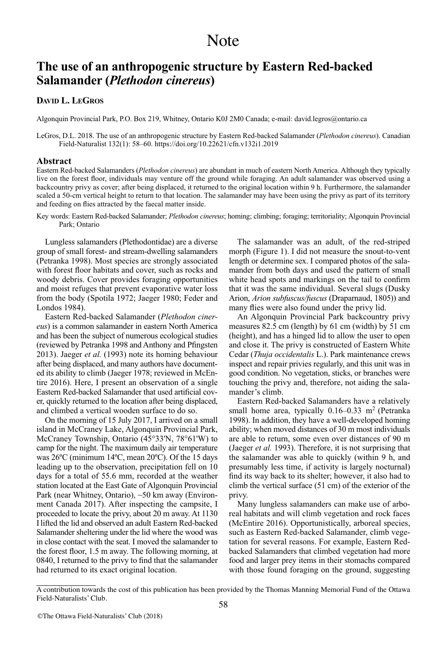# **The use of an anthropogenic structure by Eastern Red-backed Salamander (***Plethodon cinereus***)**

## **DaviD L. LEGRoS**

Algonquin Provincial Park, P.O. Box 219, Whitney, Ontario K0J 2M0 Canada; e-mail: david.legros@ontario.ca

LeGros, D.L. 2018. The use of an anthropogenic structure by Eastern Red-backed Salamander (*Plethodon cinereus*). Canadian Field-Naturalist 132(1): 58–60. <https://doi.org/10.22621/cfn.v132i1.2019>

#### **Abstract**

Eastern Red-backed Salamanders (*Plethodon cinereus*) are abundant in much of eastern North America. Although they typically live on the forest floor, individuals may venture off the ground while foraging. An adult salamander was observed using a backcountry privy as cover; after being displaced, it returned to the original location within 9 h. Furthermore, the salamander scaled a 50-cm vertical height to return to that location. The salamander may have been using the privy as part of its territory and feeding on flies attracted by the faecal matter inside.

Key words: Eastern Red-backed Salamander; *Plethodon cinereus*; homing; climbing; foraging; territoriality; Algonquin Provincial Park; Ontario

Lungless salamanders (Plethodontidae) are a diverse group of small forest- and stream-dwelling salamanders (Petranka 1998). Most species are strongly associated with forest floor habitats and cover, such as rocks and woody debris. Cover provides foraging opportunities and moist refuges that prevent evaporative water loss from the body (Spotila 1972; Jaeger 1980; Feder and Londos 1984).

Eastern Red-backed Salamander (*Plethodon cinereus*) is a common salamander in eastern North America and has been the subject of numerous ecological studies (reviewed by Petranka 1998 and Anthony and Pfingsten 2013). Jaeger *et al.* (1993) note its homing behaviour after being displaced, and many authors have documented its ability to climb (Jaeger 1978; reviewed in McEntire 2016). Here, I present an observation of a single Eastern Red-backed Salamander that used artificial cover, quickly returned to the location after being displaced, and climbed a vertical wooden surface to do so.

On the morning of 15 July 2017, I arrived on a small island in McCraney Lake, Algonquin Provincial Park, McCraney Township, Ontario (45°33'N, 78°61'W) to camp for the night. The maximum daily air temperature was 26ºC (minimum 14ºC, mean 20ºC). Of the 15 days leading up to the observation, precipitation fell on 10 days for a total of 55.6 mm, recorded at the weather station located at the East Gate of Algonquin Provincial Park (near Whitney, Ontario), ~50 km away (Environment Canada 2017). After inspecting the campsite, I proceeded to locate the privy, about 20 m away. At 1130 Ilifted the lid and observed an adult Eastern Red-backed Salamander sheltering under the lid where the wood was in close contact with the seat. I moved the salamander to the forest floor, 1.5 m away. The following morning, at 0840, I returned to the privy to find that the salamander had returned to its exact original location.

The salamander was an adult, of the red-striped morph (Figure 1). I did not measure the snout-to-vent length or determine sex. I compared photos of the salamander from both days and used the pattern of small white head spots and markings on the tail to confirm that it was the same individual. Several slugs (Dusky Arion, *Arion subfuscus/fuscus* (Draparnaud, 1805)) and many flies were also found under the privy lid.

An Algonquin Provincial Park backcountry privy measures 82.5 cm (length) by 61 cm (width) by 51 cm (height), and has a hinged lid to allow the user to open and close it. The privy is constructed of Eastern White Cedar (*Thuja occidentalis* L.). Park maintenance crews inspect and repair privies regularly, and this unit was in good condition. No vegetation, sticks, or branches were touching the privy and, therefore, not aiding the salamander's climb.

Eastern Red-backed Salamanders have a relatively small home area, typically  $0.16-0.33$  m<sup>2</sup> (Petranka 1998). In addition, they have a well-developed homing ability; when moved distances of 30 m most individuals are able to return, some even over distances of 90 m (Jaeger *et al.* 1993). Therefore, it is not surprising that the salamander was able to quickly (within 9 h, and presumably less time, if activity is largely nocturnal) find its way back to its shelter; however, it also had to climb the vertical surface (51 cm) of the exterior of the privy.

Many lungless salamanders can make use of arboreal habitats and will climb vegetation and rock faces (McEntire 2016). Opportunistically, arboreal species, such as Eastern Red-backed Salamander, climb vegetation for several reasons. For example, Eastern Redbacked Salamanders that climbed vegetation had more food and larger prey items in their stomachs compared with those found foraging on the ground, suggesting

A contribution towards the cost of this publication has been provided by the Thomas Manning Memorial Fund of the Ottawa Field-Naturalists' Club.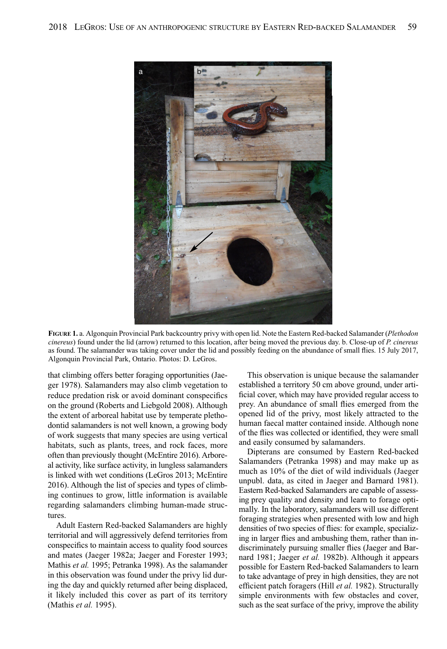

**FiGuRE 1.** a. Algonquin Provincial Park backcountry privy with open lid. Note the Eastern Red-backed Salamander (*Plethodon cinereus*) found under the lid (arrow) returned to this location, after being moved the previous day. b. Close-up of *P. cinereus* as found. The salamander was taking cover under the lid and possibly feeding on the abundance of small flies. 15 July 2017, Algonquin Provincial Park, Ontario. Photos: D. LeGros.

that climbing offers better foraging opportunities (Jaeger 1978). Salamanders may also climb vegetation to reduce predation risk or avoid dominant conspecifics on the ground (Roberts and Liebgold 2008). Although the extent of arboreal habitat use by temperate plethodontid salamanders is not well known, a growing body of work suggests that many species are using vertical habitats, such as plants, trees, and rock faces, more often than previously thought (McEntire 2016). Arboreal activity, like surface activity, in lungless salamanders is linked with wet conditions (LeGros 2013; McEntire 2016). Although the list of species and types of climbing continues to grow, little information is available regarding salamanders climbing human-made structures.

Adult Eastern Red-backed Salamanders are highly territorial and will aggressively defend territories from conspecifics to maintain access to quality food sources and mates (Jaeger 1982a; Jaeger and Forester 1993; Mathis *et al.* 1995; Petranka 1998). As the salamander in this observation was found under the privy lid during the day and quickly returned after being displaced, it likely included this cover as part of its territory (Mathis *et al.* 1995).

This observation is unique because the salamander established a territory 50 cm above ground, under artificial cover, which may have provided regular access to prey. An abundance of small flies emerged from the opened lid of the privy, most likely attracted to the human faecal matter contained inside. Although none of the flies was collected or identified, they were small and easily consumed by salamanders.

Dipterans are consumed by Eastern Red-backed Salamanders (Petranka 1998) and may make up as much as 10% of the diet of wild individuals (Jaeger unpubl. data, as cited in Jaeger and Barnard 1981). Eastern Red-backed Salamanders are capable of assessing prey quality and density and learn to forage optimally. In the laboratory, salamanders will use different foraging strategies when presented with low and high densities of two species of flies: for example, specializing in larger flies and ambushing them, rather than indiscriminately pursuing smaller flies (Jaeger and Barnard 1981; Jaeger *et al.* 1982b). Although it appears possible for Eastern Red-backed Salamanders to learn to take advantage of prey in high densities, they are not efficient patch foragers (Hill *et al.* 1982). Structurally simple environments with few obstacles and cover, such as the seat surface of the privy, improve the ability